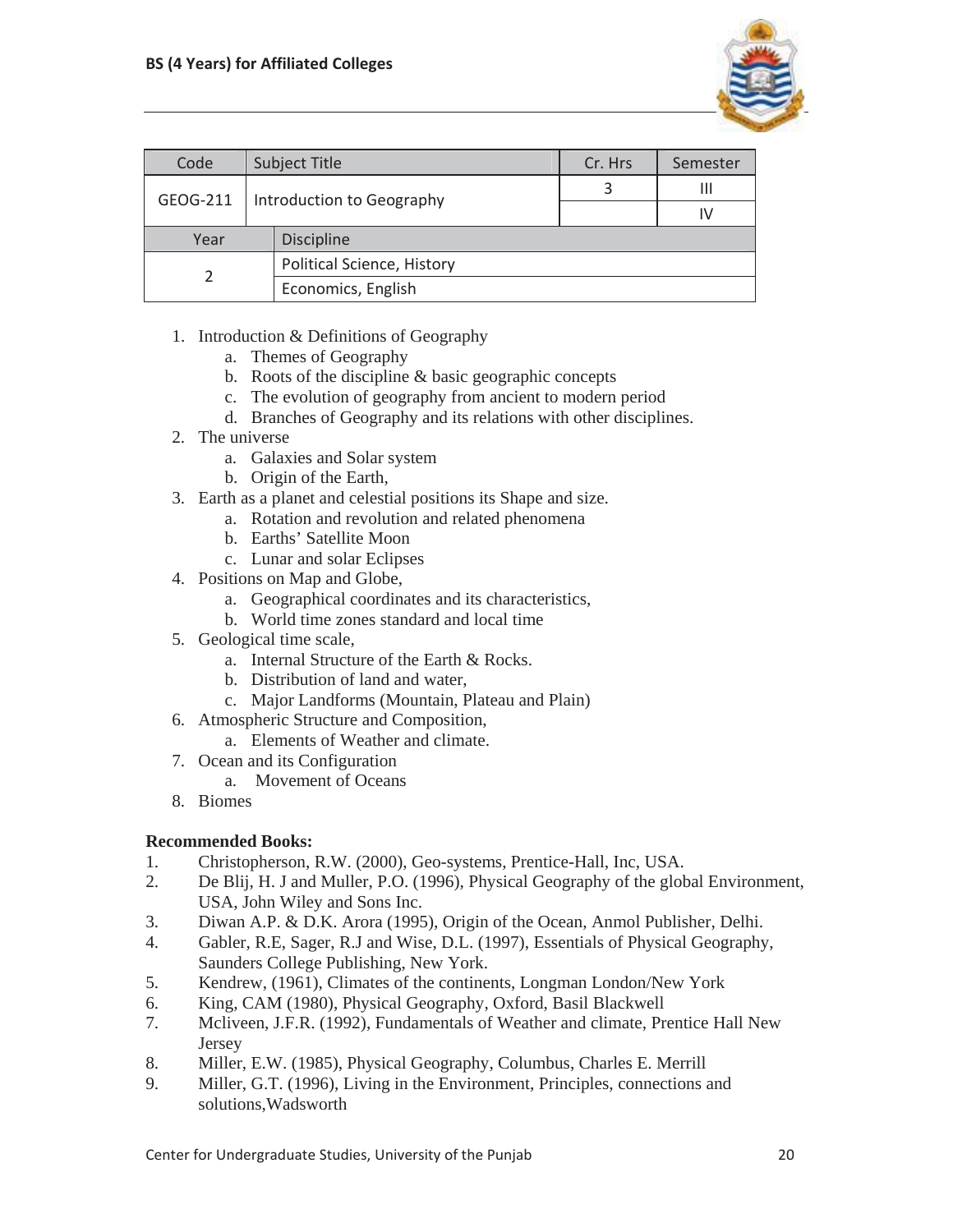

| Code     |                           | <b>Subject Title</b>       | Cr. Hrs | Semester |
|----------|---------------------------|----------------------------|---------|----------|
| GEOG-211 | Introduction to Geography |                            | 3       | Ш        |
|          |                           |                            |         | I٧       |
| Year     |                           | <b>Discipline</b>          |         |          |
|          |                           | Political Science, History |         |          |
|          |                           | Economics, English         |         |          |

- 1. Introduction & Definitions of Geography
	- a. Themes of Geography
	- b. Roots of the discipline & basic geographic concepts
	- c. The evolution of geography from ancient to modern period
	- d. Branches of Geography and its relations with other disciplines.
- 2. The universe
	- a. Galaxies and Solar system
	- b. Origin of the Earth,
- 3. Earth as a planet and celestial positions its Shape and size.
	- a. Rotation and revolution and related phenomena
	- b. Earths' Satellite Moon
	- c. Lunar and solar Eclipses
- 4. Positions on Map and Globe,
	- a. Geographical coordinates and its characteristics,
	- b. World time zones standard and local time
- 5. Geological time scale,
	- a. Internal Structure of the Earth & Rocks.
	- b. Distribution of land and water,
	- c. Major Landforms (Mountain, Plateau and Plain)
- 6. Atmospheric Structure and Composition,
	- a. Elements of Weather and climate.
- 7. Ocean and its Configuration
	- a. Movement of Oceans
- 8. Biomes

## **Recommended Books:**

- 1. Christopherson, R.W. (2000), Geo-systems, Prentice-Hall, Inc, USA.
- 2. De Blij, H. J and Muller, P.O. (1996), Physical Geography of the global Environment, USA, John Wiley and Sons Inc.
- 3. Diwan A.P. & D.K. Arora (1995), Origin of the Ocean, Anmol Publisher, Delhi.
- 4. Gabler, R.E, Sager, R.J and Wise, D.L. (1997), Essentials of Physical Geography, Saunders College Publishing, New York.
- 5. Kendrew, (1961), Climates of the continents, Longman London/New York
- 6. King, CAM (1980), Physical Geography, Oxford, Basil Blackwell
- 7. Mcliveen, J.F.R. (1992), Fundamentals of Weather and climate, Prentice Hall New Jersey
- 8. Miller, E.W. (1985), Physical Geography, Columbus, Charles E. Merrill
- 9. Miller, G.T. (1996), Living in the Environment, Principles, connections and solutions,Wadsworth